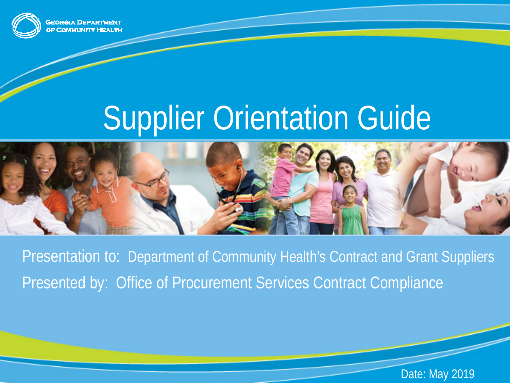

**GEORGIA DEPARTMENT COMMUNITY HEALTH** 

# **Supplier Orientation Guide**



Presentation to: Department of Community Health's Contract and Grant Suppliers Presented by: Office of Procurement Services Contract Compliance

Date: May 2019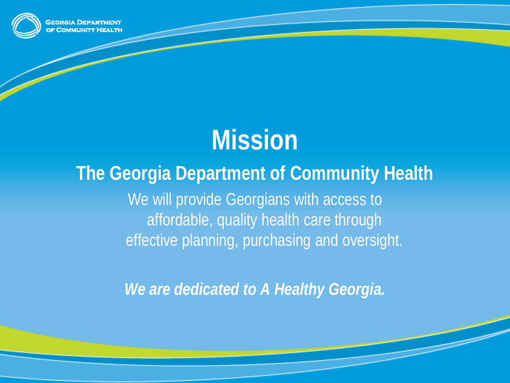

### **Mission**

#### **The Georgia Department of Community Health**

We will provide Georgians with access to affordable, quality health care through effective planning, purchasing and oversight.

*We are dedicated to A Healthy Georgia.*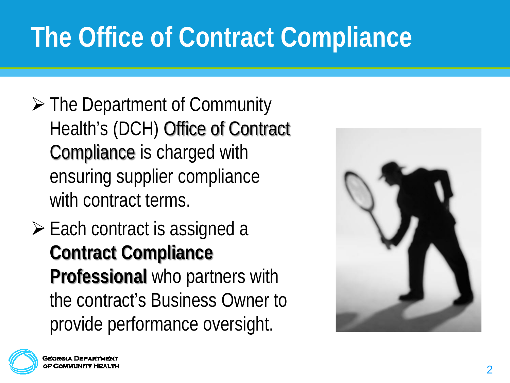# **The Office of Contract Compliance**

- **► The Department of Community** Health's (DCH) Office of Contract Compliance is charged with ensuring supplier compliance with contract terms.
- $\triangleright$  Each contract is assigned a **Contract Compliance Professional** who partners with the contract's Business Owner to provide performance oversight.



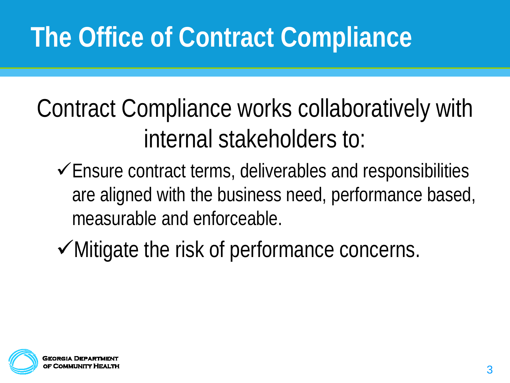# **The Office of Contract Compliance**

#### Contract Compliance works collaboratively with internal stakeholders to:

- $\checkmark$  Ensure contract terms, deliverables and responsibilities are aligned with the business need, performance based, measurable and enforceable.
- $\checkmark$  Mitigate the risk of performance concerns.

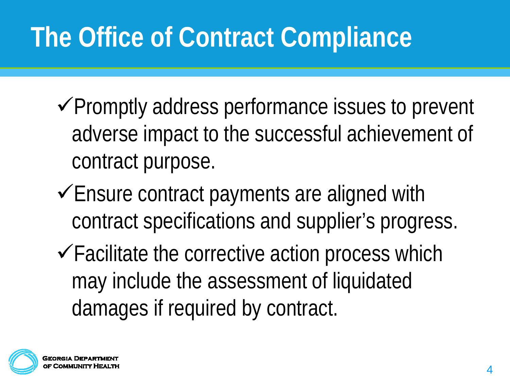# **The Office of Contract Compliance**

- $\checkmark$  Promptly address performance issues to prevent adverse impact to the successful achievement of contract purpose.
- $\checkmark$  Ensure contract payments are aligned with contract specifications and supplier's progress.
- $\checkmark$  Facilitate the corrective action process which may include the assessment of liquidated damages if required by contract.

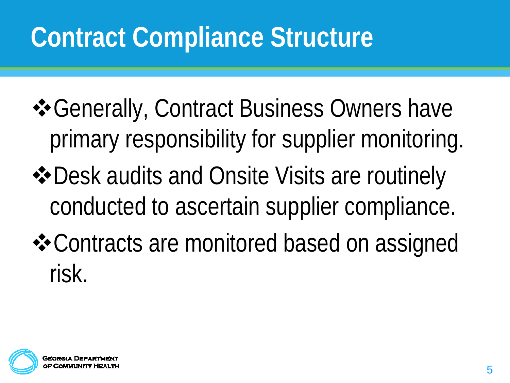- Generally, Contract Business Owners have primary responsibility for supplier monitoring.
- $\triangle$  **Desk audits and Onsite Visits are routinely** conducted to ascertain supplier compliance.
- Contracts are monitored based on assigned risk.

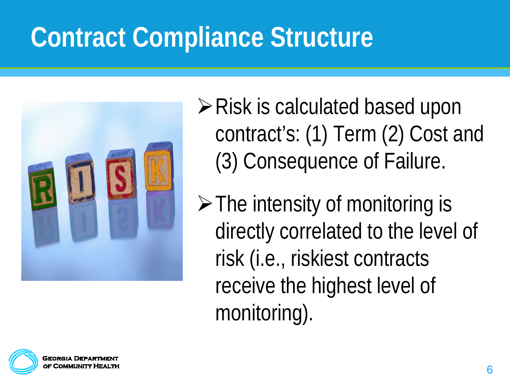

 $\triangleright$  Risk is calculated based upon contract's: (1) Term (2) Cost and (3) Consequence of Failure.

 $\triangleright$  The intensity of monitoring is directly correlated to the level of risk (i.e., riskiest contracts receive the highest level of monitoring).

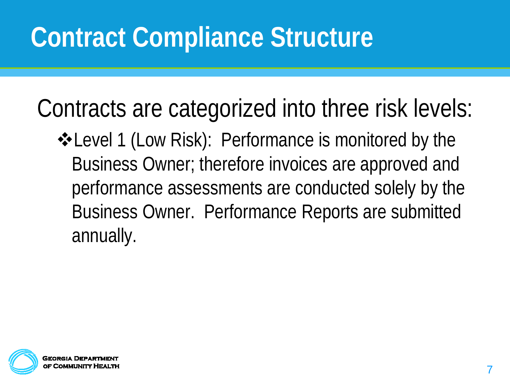Contracts are categorized into three risk levels:

**\*Level 1 (Low Risk): Performance is monitored by the** Business Owner; therefore invoices are approved and performance assessments are conducted solely by the Business Owner. Performance Reports are submitted annually.

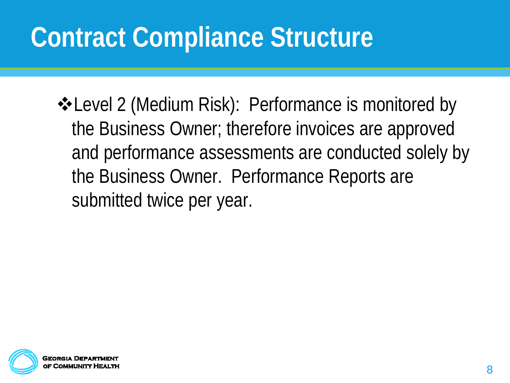**\*Level 2 (Medium Risk): Performance is monitored by** the Business Owner; therefore invoices are approved and performance assessments are conducted solely by the Business Owner. Performance Reports are submitted twice per year.

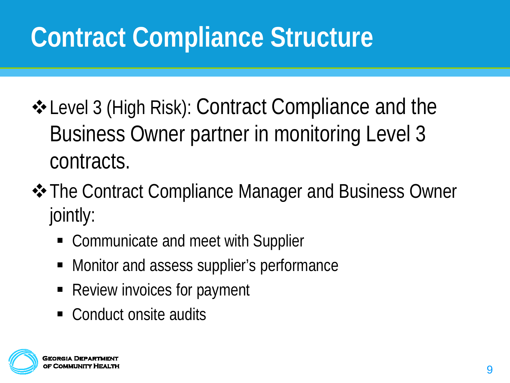- Level 3 (High Risk): Contract Compliance and the Business Owner partner in monitoring Level 3 contracts.
- $\triangle$  **The Contract Compliance Manager and Business Owner** jointly:
	- Communicate and meet with Supplier
	- Monitor and assess supplier's performance
	- Review invoices for payment
	- Conduct onsite audits

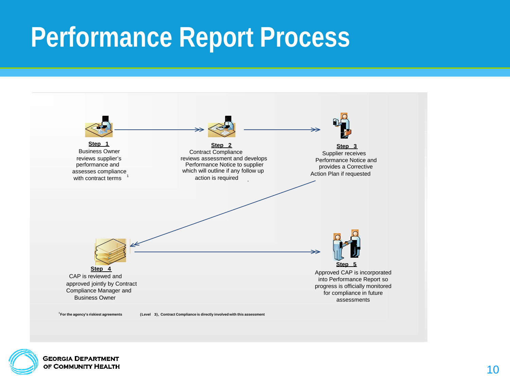#### **Performance Report Process**





**GEORGIA DEPARTMENT** OF COMMUNITY HEALTH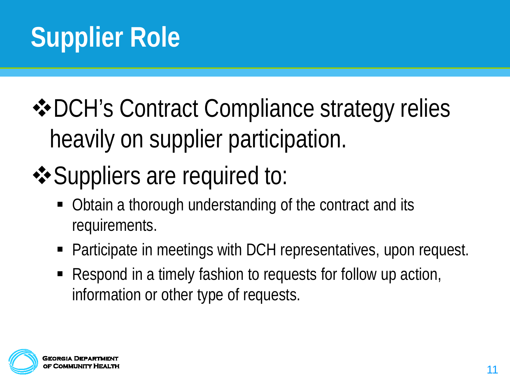### **❖ DCH's Contract Compliance strategy relies** heavily on supplier participation.

### $\triangle$  Suppliers are required to:

- Obtain a thorough understanding of the contract and its requirements.
- Participate in meetings with DCH representatives, upon request.
- Respond in a timely fashion to requests for follow up action, information or other type of requests.

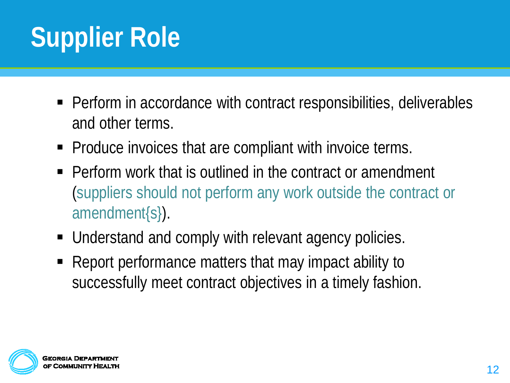# **Supplier Role**

- Perform in accordance with contract responsibilities, deliverables and other terms.
- Produce invoices that are compliant with invoice terms.
- Perform work that is outlined in the contract or amendment (suppliers should not perform any work outside the contract or amendment{s}).
- Understand and comply with relevant agency policies.
- Report performance matters that may impact ability to successfully meet contract objectives in a timely fashion.

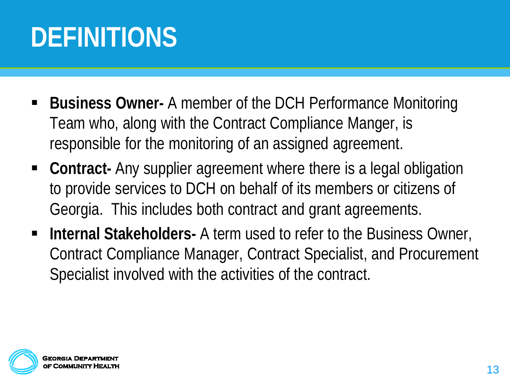# **DEFINITIONS**

- **Business Owner-** A member of the DCH Performance Monitoring Team who, along with the Contract Compliance Manger, is responsible for the monitoring of an assigned agreement.
- **Contract-** Any supplier agreement where there is a legal obligation to provide services to DCH on behalf of its members or citizens of Georgia. This includes both contract and grant agreements.
- **Internal Stakeholders-** A term used to refer to the Business Owner, Contract Compliance Manager, Contract Specialist, and Procurement Specialist involved with the activities of the contract.

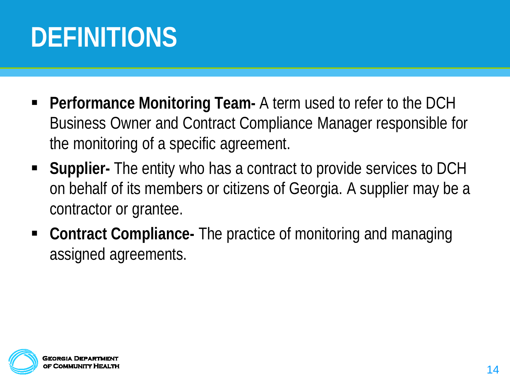# **DEFINITIONS**

- **Performance Monitoring Team-** A term used to refer to the DCH Business Owner and Contract Compliance Manager responsible for the monitoring of a specific agreement.
- **Supplier-** The entity who has a contract to provide services to DCH on behalf of its members or citizens of Georgia. A supplier may be a contractor or grantee.
- **Contract Compliance-** The practice of monitoring and managing assigned agreements.